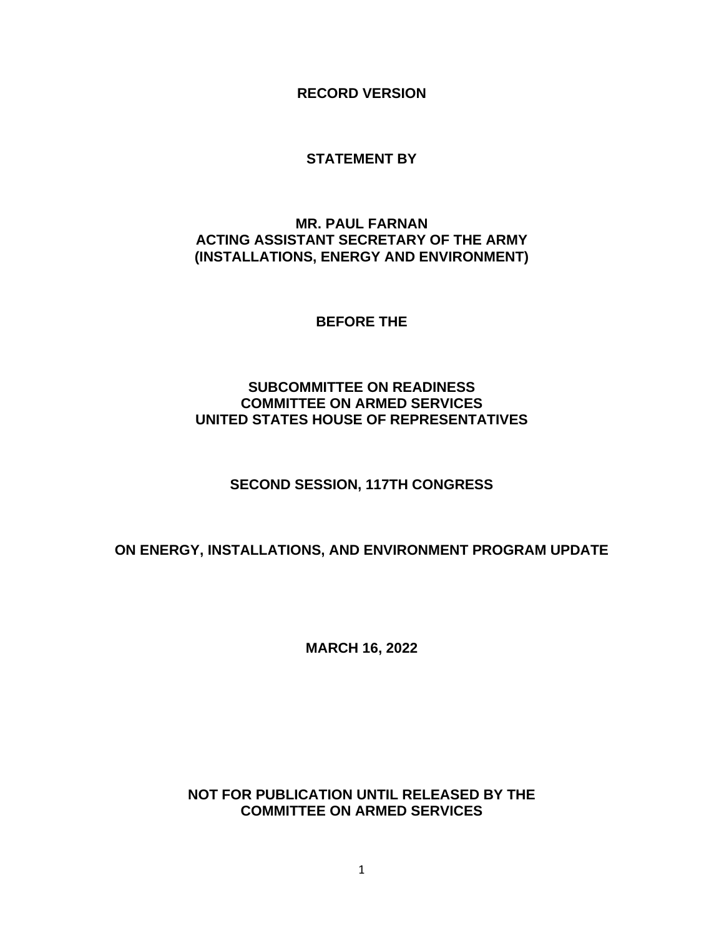**RECORD VERSION**

### **STATEMENT BY**

## **MR. PAUL FARNAN ACTING ASSISTANT SECRETARY OF THE ARMY (INSTALLATIONS, ENERGY AND ENVIRONMENT)**

**BEFORE THE**

## **SUBCOMMITTEE ON READINESS COMMITTEE ON ARMED SERVICES UNITED STATES HOUSE OF REPRESENTATIVES**

# **SECOND SESSION, 117TH CONGRESS**

# **ON ENERGY, INSTALLATIONS, AND ENVIRONMENT PROGRAM UPDATE**

**MARCH 16, 2022**

## **NOT FOR PUBLICATION UNTIL RELEASED BY THE COMMITTEE ON ARMED SERVICES**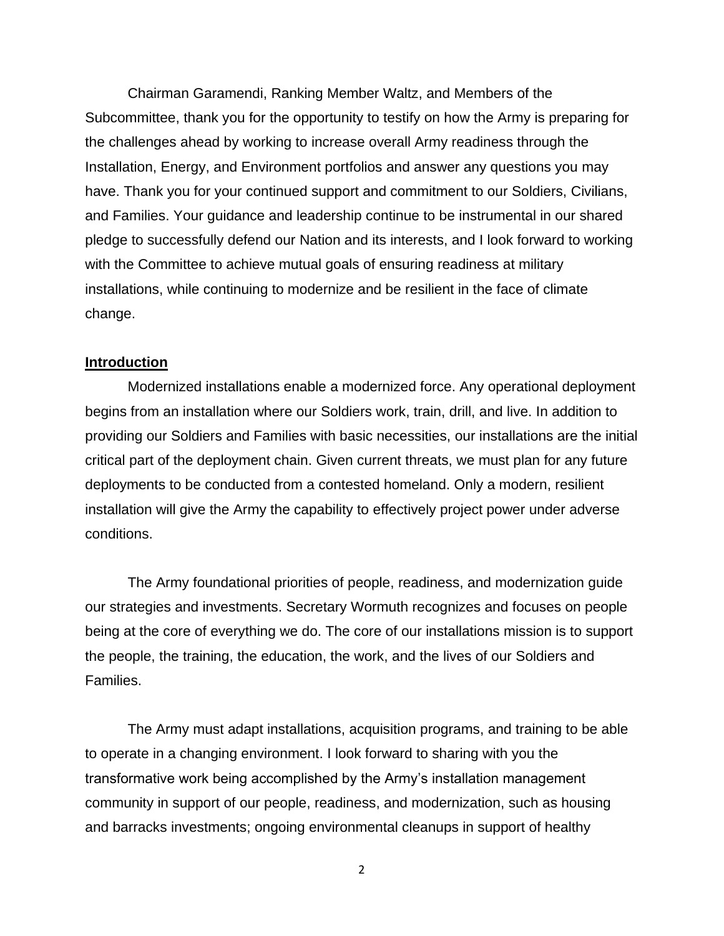Chairman Garamendi, Ranking Member Waltz, and Members of the Subcommittee, thank you for the opportunity to testify on how the Army is preparing for the challenges ahead by working to increase overall Army readiness through the Installation, Energy, and Environment portfolios and answer any questions you may have. Thank you for your continued support and commitment to our Soldiers, Civilians, and Families. Your guidance and leadership continue to be instrumental in our shared pledge to successfully defend our Nation and its interests, and I look forward to working with the Committee to achieve mutual goals of ensuring readiness at military installations, while continuing to modernize and be resilient in the face of climate change.

#### **Introduction**

Modernized installations enable a modernized force. Any operational deployment begins from an installation where our Soldiers work, train, drill, and live. In addition to providing our Soldiers and Families with basic necessities, our installations are the initial critical part of the deployment chain. Given current threats, we must plan for any future deployments to be conducted from a contested homeland. Only a modern, resilient installation will give the Army the capability to effectively project power under adverse conditions.

The Army foundational priorities of people, readiness, and modernization guide our strategies and investments. Secretary Wormuth recognizes and focuses on people being at the core of everything we do. The core of our installations mission is to support the people, the training, the education, the work, and the lives of our Soldiers and Families.

The Army must adapt installations, acquisition programs, and training to be able to operate in a changing environment. I look forward to sharing with you the transformative work being accomplished by the Army's installation management community in support of our people, readiness, and modernization, such as housing and barracks investments; ongoing environmental cleanups in support of healthy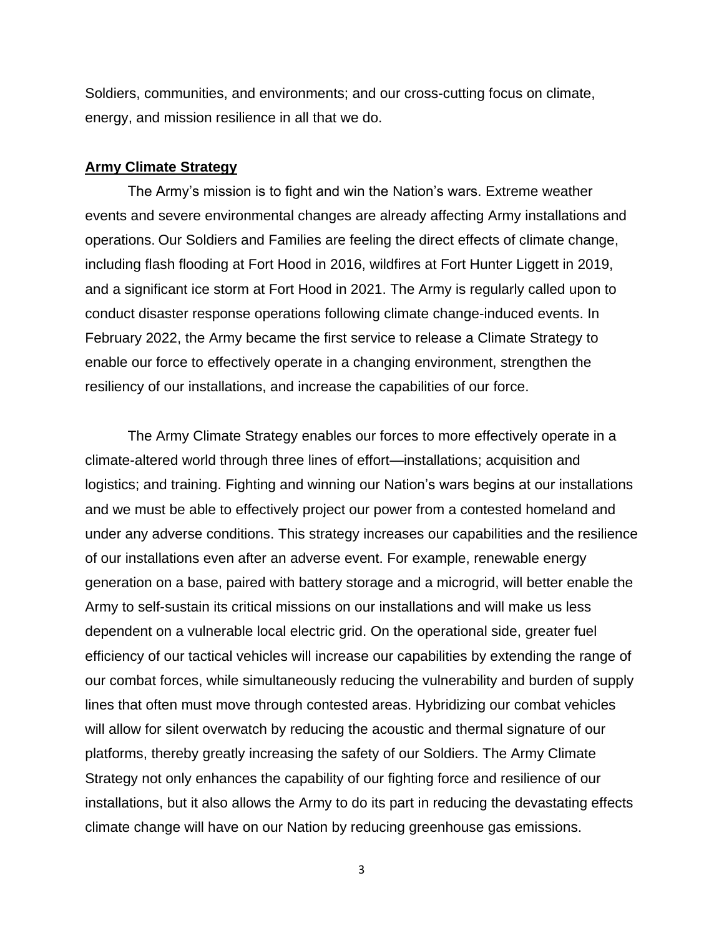Soldiers, communities, and environments; and our cross-cutting focus on climate, energy, and mission resilience in all that we do.

### **Army Climate Strategy**

The Army's mission is to fight and win the Nation's wars. Extreme weather events and severe environmental changes are already affecting Army installations and operations. Our Soldiers and Families are feeling the direct effects of climate change, including flash flooding at Fort Hood in 2016, wildfires at Fort Hunter Liggett in 2019, and a significant ice storm at Fort Hood in 2021. The Army is regularly called upon to conduct disaster response operations following climate change-induced events. In February 2022, the Army became the first service to release a Climate Strategy to enable our force to effectively operate in a changing environment, strengthen the resiliency of our installations, and increase the capabilities of our force.

The Army Climate Strategy enables our forces to more effectively operate in a climate-altered world through three lines of effort—installations; acquisition and logistics; and training. Fighting and winning our Nation's wars begins at our installations and we must be able to effectively project our power from a contested homeland and under any adverse conditions. This strategy increases our capabilities and the resilience of our installations even after an adverse event. For example, renewable energy generation on a base, paired with battery storage and a microgrid, will better enable the Army to self-sustain its critical missions on our installations and will make us less dependent on a vulnerable local electric grid. On the operational side, greater fuel efficiency of our tactical vehicles will increase our capabilities by extending the range of our combat forces, while simultaneously reducing the vulnerability and burden of supply lines that often must move through contested areas. Hybridizing our combat vehicles will allow for silent overwatch by reducing the acoustic and thermal signature of our platforms, thereby greatly increasing the safety of our Soldiers. The Army Climate Strategy not only enhances the capability of our fighting force and resilience of our installations, but it also allows the Army to do its part in reducing the devastating effects climate change will have on our Nation by reducing greenhouse gas emissions.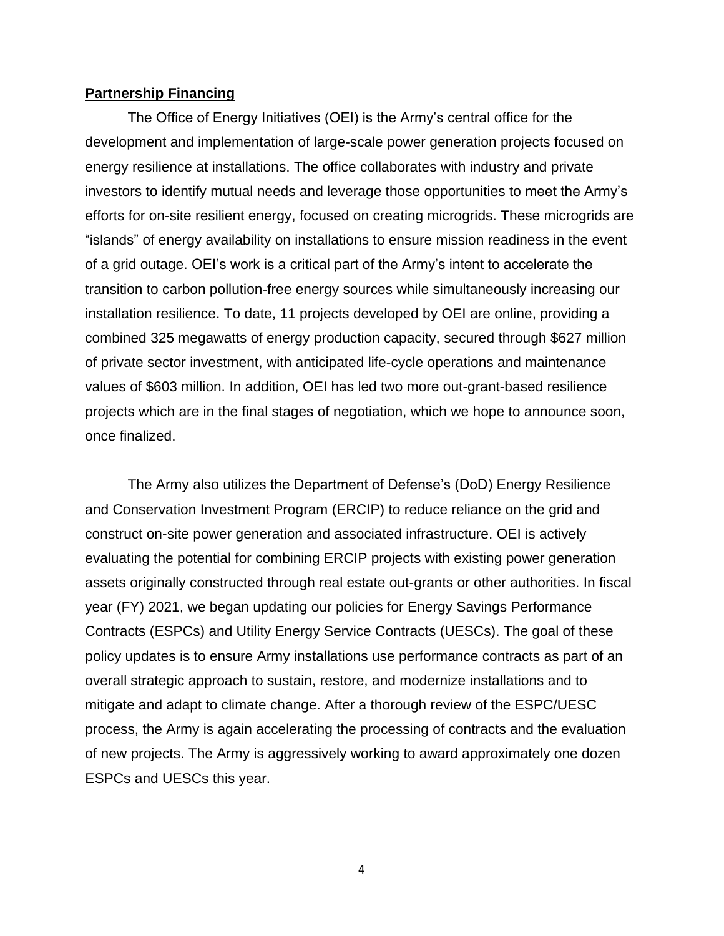### **Partnership Financing**

The Office of Energy Initiatives (OEI) is the Army's central office for the development and implementation of large-scale power generation projects focused on energy resilience at installations. The office collaborates with industry and private investors to identify mutual needs and leverage those opportunities to meet the Army's efforts for on-site resilient energy, focused on creating microgrids. These microgrids are "islands" of energy availability on installations to ensure mission readiness in the event of a grid outage. OEI's work is a critical part of the Army's intent to accelerate the transition to carbon pollution-free energy sources while simultaneously increasing our installation resilience. To date, 11 projects developed by OEI are online, providing a combined 325 megawatts of energy production capacity, secured through \$627 million of private sector investment, with anticipated life-cycle operations and maintenance values of \$603 million. In addition, OEI has led two more out-grant-based resilience projects which are in the final stages of negotiation, which we hope to announce soon, once finalized.

The Army also utilizes the Department of Defense's (DoD) Energy Resilience and Conservation Investment Program (ERCIP) to reduce reliance on the grid and construct on-site power generation and associated infrastructure. OEI is actively evaluating the potential for combining ERCIP projects with existing power generation assets originally constructed through real estate out-grants or other authorities. In fiscal year (FY) 2021, we began updating our policies for Energy Savings Performance Contracts (ESPCs) and Utility Energy Service Contracts (UESCs). The goal of these policy updates is to ensure Army installations use performance contracts as part of an overall strategic approach to sustain, restore, and modernize installations and to mitigate and adapt to climate change. After a thorough review of the ESPC/UESC process, the Army is again accelerating the processing of contracts and the evaluation of new projects. The Army is aggressively working to award approximately one dozen ESPCs and UESCs this year.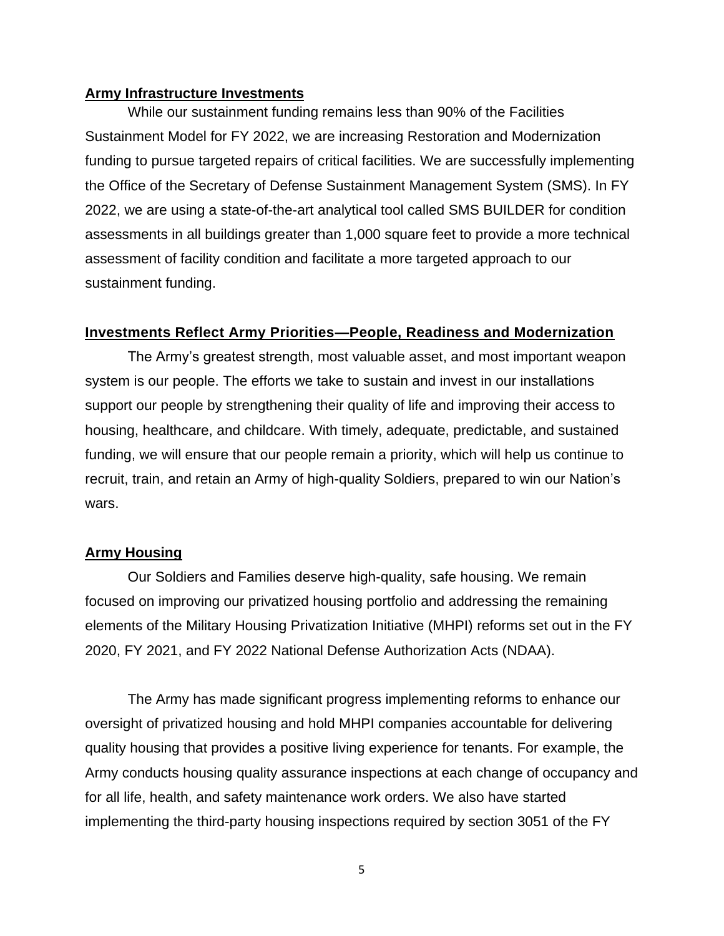### **Army Infrastructure Investments**

While our sustainment funding remains less than 90% of the Facilities Sustainment Model for FY 2022, we are increasing Restoration and Modernization funding to pursue targeted repairs of critical facilities. We are successfully implementing the Office of the Secretary of Defense Sustainment Management System (SMS). In FY 2022, we are using a state-of-the-art analytical tool called SMS BUILDER for condition assessments in all buildings greater than 1,000 square feet to provide a more technical assessment of facility condition and facilitate a more targeted approach to our sustainment funding.

### **Investments Reflect Army Priorities—People, Readiness and Modernization**

The Army's greatest strength, most valuable asset, and most important weapon system is our people. The efforts we take to sustain and invest in our installations support our people by strengthening their quality of life and improving their access to housing, healthcare, and childcare. With timely, adequate, predictable, and sustained funding, we will ensure that our people remain a priority, which will help us continue to recruit, train, and retain an Army of high-quality Soldiers, prepared to win our Nation's wars.

### **Army Housing**

Our Soldiers and Families deserve high-quality, safe housing. We remain focused on improving our privatized housing portfolio and addressing the remaining elements of the Military Housing Privatization Initiative (MHPI) reforms set out in the FY 2020, FY 2021, and FY 2022 National Defense Authorization Acts (NDAA).

The Army has made significant progress implementing reforms to enhance our oversight of privatized housing and hold MHPI companies accountable for delivering quality housing that provides a positive living experience for tenants. For example, the Army conducts housing quality assurance inspections at each change of occupancy and for all life, health, and safety maintenance work orders. We also have started implementing the third-party housing inspections required by section 3051 of the FY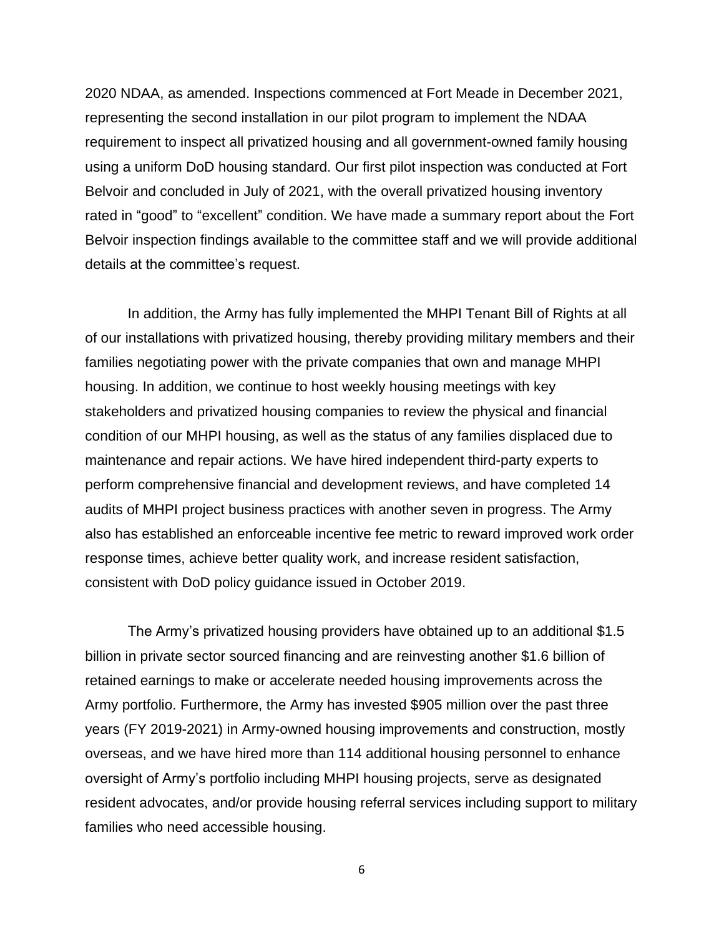2020 NDAA, as amended. Inspections commenced at Fort Meade in December 2021, representing the second installation in our pilot program to implement the NDAA requirement to inspect all privatized housing and all government-owned family housing using a uniform DoD housing standard. Our first pilot inspection was conducted at Fort Belvoir and concluded in July of 2021, with the overall privatized housing inventory rated in "good" to "excellent" condition. We have made a summary report about the Fort Belvoir inspection findings available to the committee staff and we will provide additional details at the committee's request.

In addition, the Army has fully implemented the MHPI Tenant Bill of Rights at all of our installations with privatized housing, thereby providing military members and their families negotiating power with the private companies that own and manage MHPI housing. In addition, we continue to host weekly housing meetings with key stakeholders and privatized housing companies to review the physical and financial condition of our MHPI housing, as well as the status of any families displaced due to maintenance and repair actions. We have hired independent third-party experts to perform comprehensive financial and development reviews, and have completed 14 audits of MHPI project business practices with another seven in progress. The Army also has established an enforceable incentive fee metric to reward improved work order response times, achieve better quality work, and increase resident satisfaction, consistent with DoD policy guidance issued in October 2019.

The Army's privatized housing providers have obtained up to an additional \$1.5 billion in private sector sourced financing and are reinvesting another \$1.6 billion of retained earnings to make or accelerate needed housing improvements across the Army portfolio. Furthermore, the Army has invested \$905 million over the past three years (FY 2019-2021) in Army-owned housing improvements and construction, mostly overseas, and we have hired more than 114 additional housing personnel to enhance oversight of Army's portfolio including MHPI housing projects, serve as designated resident advocates, and/or provide housing referral services including support to military families who need accessible housing.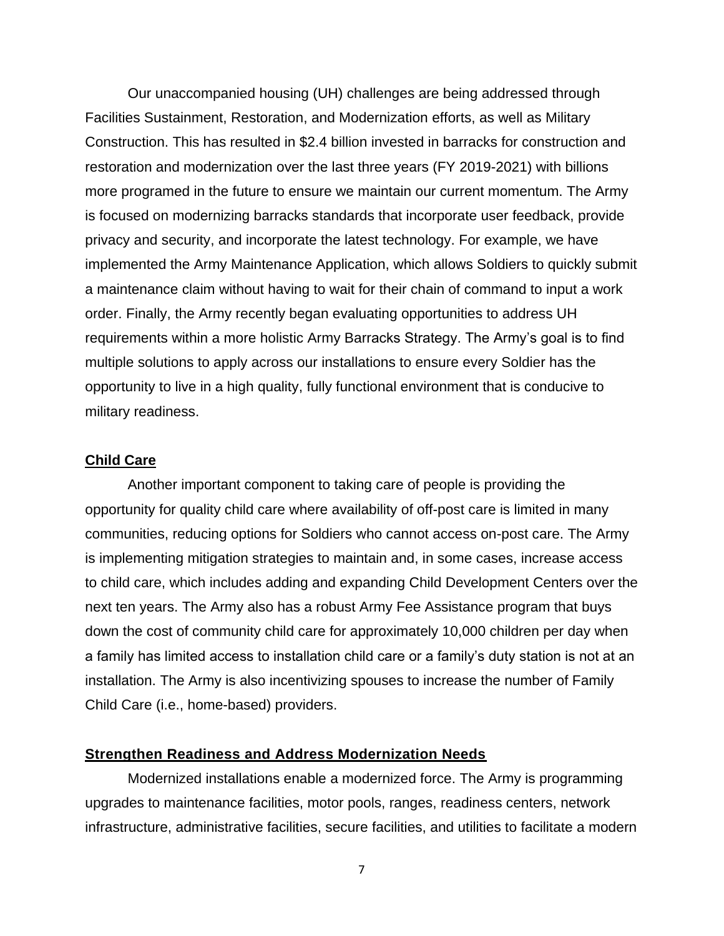Our unaccompanied housing (UH) challenges are being addressed through Facilities Sustainment, Restoration, and Modernization efforts, as well as Military Construction. This has resulted in \$2.4 billion invested in barracks for construction and restoration and modernization over the last three years (FY 2019-2021) with billions more programed in the future to ensure we maintain our current momentum. The Army is focused on modernizing barracks standards that incorporate user feedback, provide privacy and security, and incorporate the latest technology. For example, we have implemented the Army Maintenance Application, which allows Soldiers to quickly submit a maintenance claim without having to wait for their chain of command to input a work order. Finally, the Army recently began evaluating opportunities to address UH requirements within a more holistic Army Barracks Strategy. The Army's goal is to find multiple solutions to apply across our installations to ensure every Soldier has the opportunity to live in a high quality, fully functional environment that is conducive to military readiness.

### **Child Care**

Another important component to taking care of people is providing the opportunity for quality child care where availability of off-post care is limited in many communities, reducing options for Soldiers who cannot access on-post care. The Army is implementing mitigation strategies to maintain and, in some cases, increase access to child care, which includes adding and expanding Child Development Centers over the next ten years. The Army also has a robust Army Fee Assistance program that buys down the cost of community child care for approximately 10,000 children per day when a family has limited access to installation child care or a family's duty station is not at an installation. The Army is also incentivizing spouses to increase the number of Family Child Care (i.e., home-based) providers.

### **Strengthen Readiness and Address Modernization Needs**

Modernized installations enable a modernized force. The Army is programming upgrades to maintenance facilities, motor pools, ranges, readiness centers, network infrastructure, administrative facilities, secure facilities, and utilities to facilitate a modern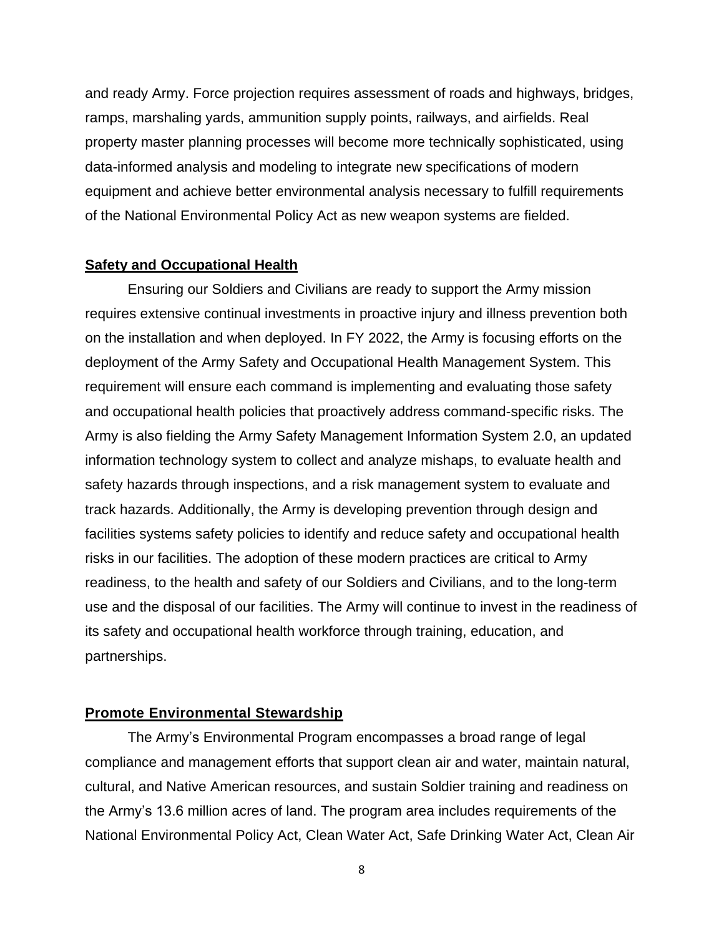and ready Army. Force projection requires assessment of roads and highways, bridges, ramps, marshaling yards, ammunition supply points, railways, and airfields. Real property master planning processes will become more technically sophisticated, using data-informed analysis and modeling to integrate new specifications of modern equipment and achieve better environmental analysis necessary to fulfill requirements of the National Environmental Policy Act as new weapon systems are fielded.

#### **Safety and Occupational Health**

Ensuring our Soldiers and Civilians are ready to support the Army mission requires extensive continual investments in proactive injury and illness prevention both on the installation and when deployed. In FY 2022, the Army is focusing efforts on the deployment of the Army Safety and Occupational Health Management System. This requirement will ensure each command is implementing and evaluating those safety and occupational health policies that proactively address command-specific risks. The Army is also fielding the Army Safety Management Information System 2.0, an updated information technology system to collect and analyze mishaps, to evaluate health and safety hazards through inspections, and a risk management system to evaluate and track hazards. Additionally, the Army is developing prevention through design and facilities systems safety policies to identify and reduce safety and occupational health risks in our facilities. The adoption of these modern practices are critical to Army readiness, to the health and safety of our Soldiers and Civilians, and to the long-term use and the disposal of our facilities. The Army will continue to invest in the readiness of its safety and occupational health workforce through training, education, and partnerships.

#### **Promote Environmental Stewardship**

The Army's Environmental Program encompasses a broad range of legal compliance and management efforts that support clean air and water, maintain natural, cultural, and Native American resources, and sustain Soldier training and readiness on the Army's 13.6 million acres of land. The program area includes requirements of the National Environmental Policy Act, Clean Water Act, Safe Drinking Water Act, Clean Air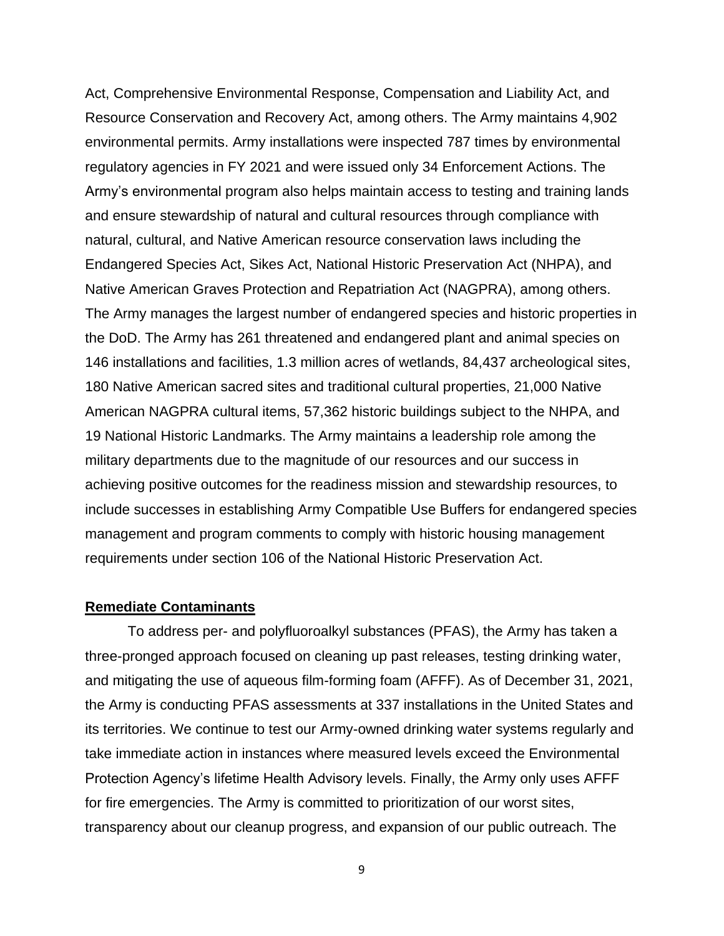Act, Comprehensive Environmental Response, Compensation and Liability Act, and Resource Conservation and Recovery Act, among others. The Army maintains 4,902 environmental permits. Army installations were inspected 787 times by environmental regulatory agencies in FY 2021 and were issued only 34 Enforcement Actions. The Army's environmental program also helps maintain access to testing and training lands and ensure stewardship of natural and cultural resources through compliance with natural, cultural, and Native American resource conservation laws including the Endangered Species Act, Sikes Act, National Historic Preservation Act (NHPA), and Native American Graves Protection and Repatriation Act (NAGPRA), among others. The Army manages the largest number of endangered species and historic properties in the DoD. The Army has 261 threatened and endangered plant and animal species on 146 installations and facilities, 1.3 million acres of wetlands, 84,437 archeological sites, 180 Native American sacred sites and traditional cultural properties, 21,000 Native American NAGPRA cultural items, 57,362 historic buildings subject to the NHPA, and 19 National Historic Landmarks. The Army maintains a leadership role among the military departments due to the magnitude of our resources and our success in achieving positive outcomes for the readiness mission and stewardship resources, to include successes in establishing Army Compatible Use Buffers for endangered species management and program comments to comply with historic housing management requirements under section 106 of the National Historic Preservation Act.

### **Remediate Contaminants**

To address per- and polyfluoroalkyl substances (PFAS), the Army has taken a three-pronged approach focused on cleaning up past releases, testing drinking water, and mitigating the use of aqueous film-forming foam (AFFF). As of December 31, 2021, the Army is conducting PFAS assessments at 337 installations in the United States and its territories. We continue to test our Army-owned drinking water systems regularly and take immediate action in instances where measured levels exceed the Environmental Protection Agency's lifetime Health Advisory levels. Finally, the Army only uses AFFF for fire emergencies. The Army is committed to prioritization of our worst sites, transparency about our cleanup progress, and expansion of our public outreach. The